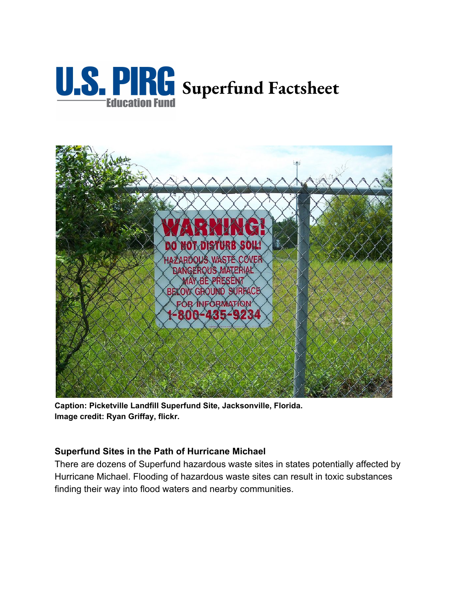



**Caption: Picketville Landfill Superfund Site, Jacksonville, Florida. Image credit: Ryan Griffay, flickr.**

## **Superfund Sites in the Path of Hurricane Michael**

There are dozens of Superfund hazardous waste sites in states potentially affected by Hurricane Michael. Flooding of hazardous waste sites can result in toxic substances finding their way into flood waters and nearby communities.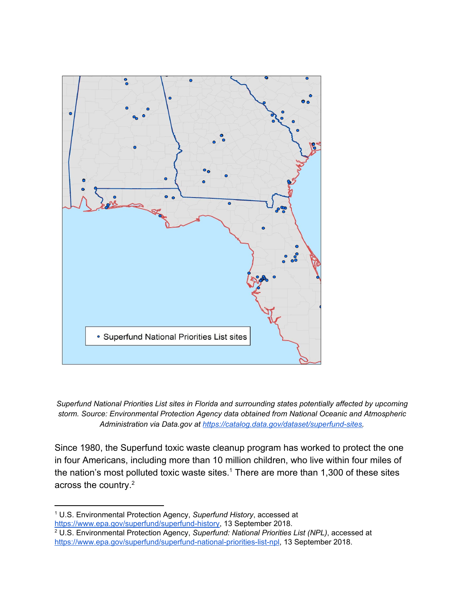

*Superfund National Priorities List sites in Florida and surrounding states potentially affected by upcoming storm. Source: Environmental Protection Agency data obtained from National Oceanic and Atmospheric Administration via Data.gov at [https://catalog.data.gov/dataset/superfund-sites.](https://catalog.data.gov/dataset/superfund-sites)*

Since 1980, the Superfund toxic waste cleanup program has worked to protect the one in four Americans, including more than 10 million children, who live within four miles of the nation's most polluted toxic waste sites.<sup>1</sup> There are more than 1,300 of these sites across the country.<sup>2</sup>

<sup>1</sup> U.S. Environmental Protection Agency, *Superfund History*, accessed at [https://www.epa.gov/superfund/superfund-history,](https://www.epa.gov/superfund/superfund-history) 13 September 2018.

<sup>2</sup> U.S. Environmental Protection Agency, *Superfund: National Priorities List (NPL)*, accessed at <https://www.epa.gov/superfund/superfund-national-priorities-list-npl>, 13 September 2018.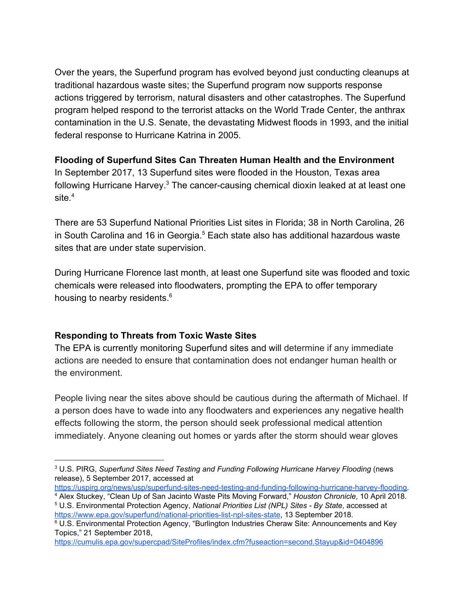Over the years, the Superfund program has evolved beyond just conducting cleanups at traditional hazardous waste sites; the Superfund program now supports response actions triggered by terrorism, natural disasters and other catastrophes. The Superfund program helped respond to the terrorist attacks on the World Trade Center, the anthrax contamination in the U.S. Senate, the devastating Midwest floods in 1993, and the initial federal response to Hurricane Katrina in 2005.

## **Flooding of Superfund Sites Can Threaten Human Health and the Environment**

In September 2017, 13 Superfund sites were flooded in the Houston, Texas area following Hurricane Harvey.<sup>3</sup> The cancer-causing chemical dioxin leaked at at least one site $4$ 

There are 53 Superfund National Priorities List sites in Florida; 38 in North Carolina, 26 in South Carolina and 16 in Georgia.<sup>5</sup> Each state also has additional hazardous waste sites that are under state supervision.

During Hurricane Florence last month, at least one Superfund site was flooded and toxic chemicals were released into floodwaters, prompting the EPA to offer temporary housing to nearby residents.<sup>6</sup>

## **Responding to Threats from Toxic Waste Sites**

The EPA is currently monitoring Superfund sites and will determine if any immediate actions are needed to ensure that contamination does not endanger human health or the environment.

People living near the sites above should be cautious during the aftermath of Michael. If a person does have to wade into any floodwaters and experiences any negative health effects following the storm, the person should seek professional medical attention immediately. Anyone cleaning out homes or yards after the storm should wear gloves

<sup>3</sup> U.S. PIRG, *Superfund Sites Need Testing and Funding Following Hurricane Harvey Flooding* (news release), 5 September 2017, accessed at

[https://uspirg.org/news/usp/superfund-sites-need-testing-and-funding-following-hurricane-harvey-flooding.](https://uspirg.org/news/usp/superfund-sites-need-testing-and-funding-following-hurricane-harvey-flooding) <sup>4</sup> Alex Stuckey, "Clean Up of San Jacinto Waste Pits Moving Forward," *Houston Chronicle*, 10 April 2018.

<sup>5</sup> U.S. Environmental Protection Agency, *National Priorities List (NPL) Sites - By State*, accessed at <https://www.epa.gov/superfund/national-priorities-list-npl-sites-state>, 13 September 2018.

<sup>6</sup> U.S. Environmental Protection Agency, "Burlington Industries Cheraw Site: Announcements and Key Topics," 21 September 2018,

<https://cumulis.epa.gov/supercpad/SiteProfiles/index.cfm?fuseaction=second.Stayup&id=0404896>